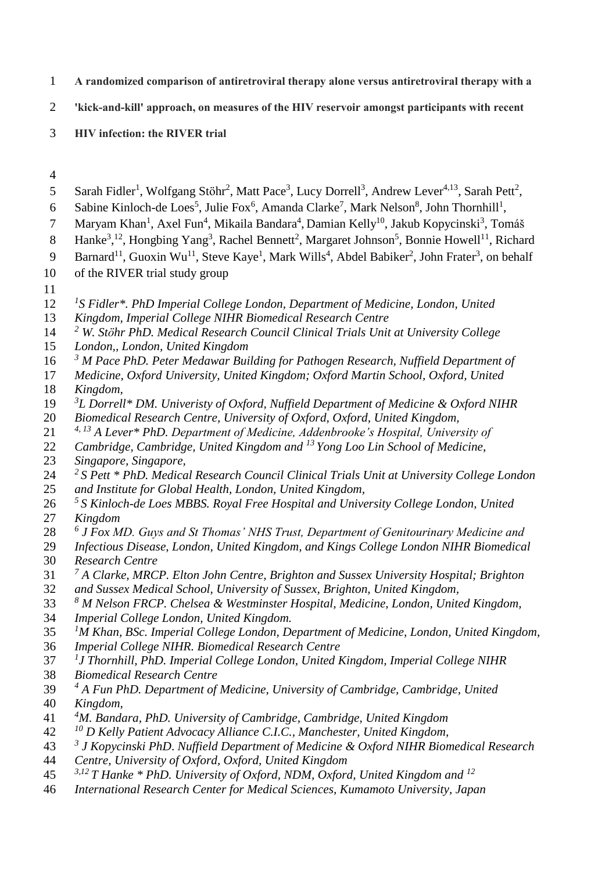- **A randomized comparison of antiretroviral therapy alone versus antiretroviral therapy with a**
- **'kick-and-kill' approach, on measures of the HIV reservoir amongst participants with recent**
- **HIV infection: the RIVER trial**
- 
- 5 Sarah Fidler<sup>1</sup>, Wolfgang Stöhr<sup>2</sup>, Matt Pace<sup>3</sup>, Lucy Dorrell<sup>3</sup>, Andrew Lever<sup>4,13</sup>, Sarah Pett<sup>2</sup>,
- 6 Sabine Kinloch-de Loes<sup>5</sup>, Julie Fox<sup>6</sup>, Amanda Clarke<sup>7</sup>, Mark Nelson<sup>8</sup>, John Thornhill<sup>1</sup>,
- 7 Maryam Khan<sup>1</sup>, Axel Fun<sup>4</sup>, Mikaila Bandara<sup>4</sup>, Damian Kelly<sup>10</sup>, Jakub Kopycinski<sup>3</sup>, Tomáš
- 8 Hanke<sup>3</sup>,<sup>12</sup>, Hongbing Yang<sup>3</sup>, Rachel Bennett<sup>2</sup>, Margaret Johnson<sup>5</sup>, Bonnie Howell<sup>11</sup>, Richard
- 9 Barnard<sup>11</sup>, Guoxin Wu<sup>11</sup>, Steve Kaye<sup>1</sup>, Mark Wills<sup>4</sup>, Abdel Babiker<sup>2</sup>, John Frater<sup>3</sup>, on behalf
- of the RIVER trial study group
- 
- 12 <sup>*l*</sup>S Fidler\*. PhD Imperial College London, Department of Medicine, London, United
- *Kingdom, Imperial College NIHR Biomedical Research Centre*
- *<sup>2</sup> W. Stӧhr PhD. Medical Research Council Clinical Trials Unit at University College*
- *London,, London, United Kingdom*
- *<sup>3</sup> M Pace PhD. Peter Medawar Building for Pathogen Research, Nuffield Department of*
- *Medicine, Oxford University, United Kingdom; Oxford Martin School, Oxford, United Kingdom,*
- *3 L Dorrell\* DM. Univeristy of Oxford, Nuffield Department of Medicine & Oxford NIHR*
- *Biomedical Research Centre, University of Oxford, Oxford, United Kingdom,*
- *4, 13 A Lever\* PhD. Department of Medicine, Addenbrooke's Hospital, University of*
- *Cambridge, Cambridge, United Kingdom and <sup>13</sup> Yong Loo Lin School of Medicine,*
- *Singapore, Singapore,*
- *2 S Pett \* PhD. Medical Research Council Clinical Trials Unit at University College London*
- *and Institute for Global Health, London, United Kingdom,*
- *5 S Kinloch-de Loes MBBS. Royal Free Hospital and University College London, United*
- *Kingdom*
- *6 J Fox MD. Guys and St Thomas' NHS Trust, Department of Genitourinary Medicine and*
- *Infectious Disease, London, United Kingdom, and Kings College London NIHR Biomedical*
- *Research Centre*
- *7 A Clarke, MRCP. Elton John Centre, Brighton and Sussex University Hospital; Brighton*
- *and Sussex Medical School, University of Sussex, Brighton, United Kingdom,*
- *<sup>8</sup> M Nelson FRCP. Chelsea & Westminster Hospital, Medicine, London, United Kingdom,*
- *Imperial College London, United Kingdom.*
- *<sup>1</sup>M Khan, BSc. Imperial College London, Department of Medicine, London, United Kingdom,*
- *Imperial College NIHR. Biomedical Research Centre*
- *1 J Thornhill, PhD. Imperial College London, United Kingdom, Imperial College NIHR*
- *Biomedical Research Centre*
- *4 A Fun PhD. Department of Medicine, University of Cambridge, Cambridge, United Kingdom,*
- *<sup>4</sup>M. Bandara, PhD. University of Cambridge, Cambridge, United Kingdom*
- *<sup>10</sup> D Kelly Patient Advocacy Alliance C.I.C., Manchester, United Kingdom,*
- *3 J Kopycinski PhD*. *Nuffield Department of Medicine & Oxford NIHR Biomedical Research*
- *Centre, University of Oxford, Oxford, United Kingdom*
- *3,12 T Hanke \* PhD. University of Oxford, NDM, Oxford, United Kingdom and <sup>12</sup>*
- *International Research Center for Medical Sciences, Kumamoto University, Japan*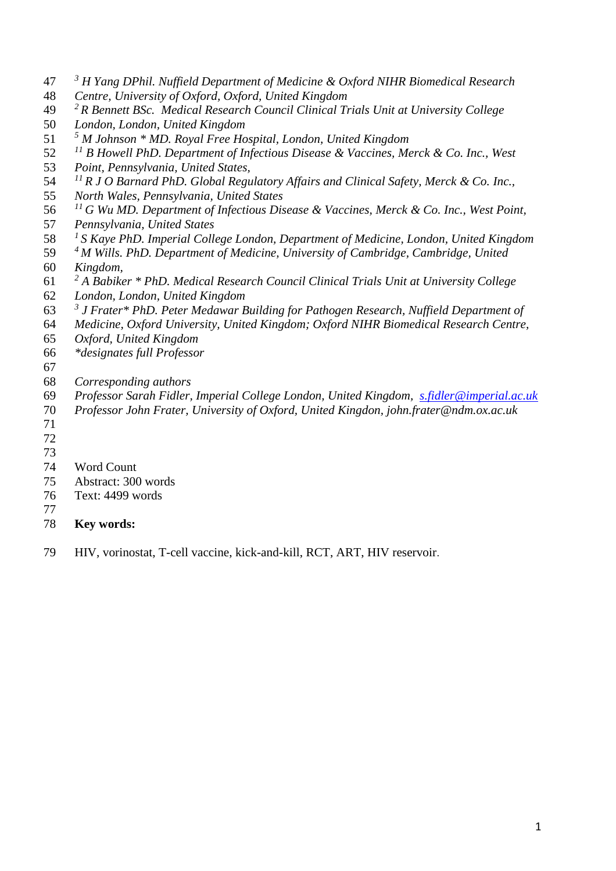- *3 H Yang DPhil. Nuffield Department of Medicine & Oxford NIHR Biomedical Research*
- *Centre, University of Oxford, Oxford, United Kingdom*
- *2 R Bennett BSc. Medical Research Council Clinical Trials Unit at University College*
- *London, London, United Kingdom*
- *<sup>5</sup> M Johnson \* MD. Royal Free Hospital, London, United Kingdom*
- *<sup>11</sup> B Howell PhD. Department of Infectious Disease & Vaccines, Merck & Co. Inc., West*
- *Point, Pennsylvania, United States,*
- <sup>11</sup> R J O Barnard PhD. Global Regulatory Affairs and Clinical Safety, Merck & Co. Inc.,
- *North Wales, Pennsylvania, United States*
- *<sup>11</sup> G Wu MD. Department of Infectious Disease & Vaccines, Merck & Co. Inc., West Point,*
- *Pennsylvania, United States*
- *<sup>1</sup> S Kaye PhD. Imperial College London, Department of Medicine, London, United Kingdom*
- *<sup>4</sup>M Wills. PhD. Department of Medicine, University of Cambridge, Cambridge, United Kingdom,*
- *2 A Babiker \* PhD. Medical Research Council Clinical Trials Unit at University College*
- *London, London, United Kingdom*
- *3 J Frater\* PhD. Peter Medawar Building for Pathogen Research, Nuffield Department of*
- *Medicine, Oxford University, United Kingdom; Oxford NIHR Biomedical Research Centre,*
- *Oxford, United Kingdom*
- *\*designates full Professor*
- 
- *Corresponding authors*
- *Professor Sarah Fidler, Imperial College London, United Kingdom, [s.fidler@imperial.ac.uk](mailto:s.fidler@imperial.ac.uk)*
- *Professor John Frater, University of Oxford, United Kingdon, john.frater@ndm.ox.ac.uk*
- 
- 
- 
- Word Count
- Abstract: 300 words
- Text: 4499 words
- 
- **Key words:**
- HIV, vorinostat, T-cell vaccine, kick-and-kill, RCT, ART, HIV reservoir.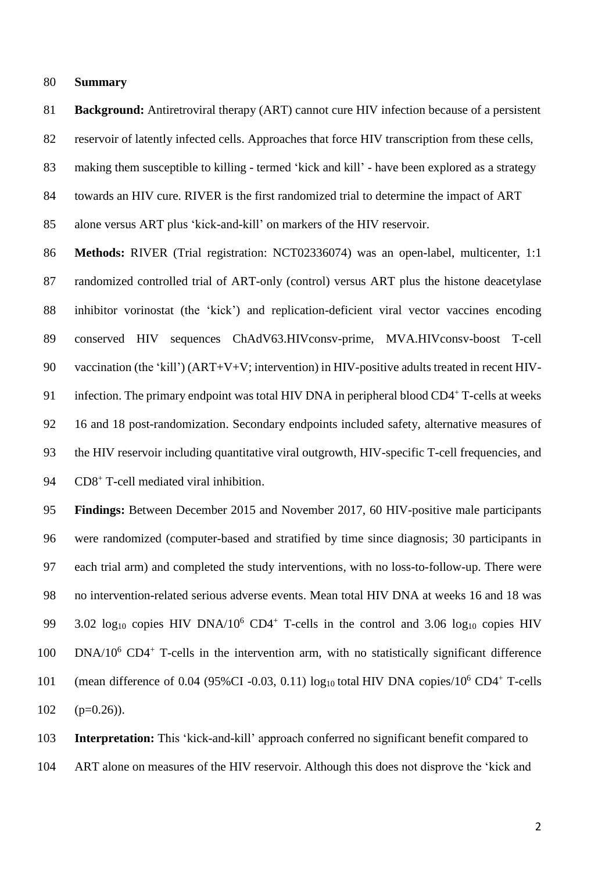#### **Summary**

 **Background:** Antiretroviral therapy (ART) cannot cure HIV infection because of a persistent 82 reservoir of latently infected cells. Approaches that force HIV transcription from these cells, making them susceptible to killing - termed 'kick and kill' - have been explored as a strategy towards an HIV cure. RIVER is the first randomized trial to determine the impact of ART

alone versus ART plus 'kick-and-kill' on markers of the HIV reservoir.

 **Methods:** RIVER (Trial registration: NCT02336074) was an open-label, multicenter, 1:1 randomized controlled trial of ART-only (control) versus ART plus the histone deacetylase inhibitor vorinostat (the 'kick') and replication-deficient viral vector vaccines encoding conserved HIV sequences ChAdV63.HIVconsv-prime, MVA.HIVconsv-boost T-cell 90 vaccination (the 'kill') (ART+V+V; intervention) in HIV-positive adults treated in recent HIV-91 infection. The primary endpoint was total HIV DNA in peripheral blood CD4<sup>+</sup> T-cells at weeks 16 and 18 post-randomization. Secondary endpoints included safety, alternative measures of the HIV reservoir including quantitative viral outgrowth, HIV-specific T-cell frequencies, and 94 CD8<sup>+</sup> T-cell mediated viral inhibition.

 **Findings:** Between December 2015 and November 2017, 60 HIV-positive male participants were randomized (computer-based and stratified by time since diagnosis; 30 participants in each trial arm) and completed the study interventions, with no loss-to-follow-up. There were no intervention-related serious adverse events. Mean total HIV DNA at weeks 16 and 18 was 99 3.02  $log_{10}$  copies HIV DNA/10<sup>6</sup> CD4<sup>+</sup> T-cells in the control and 3.06  $log_{10}$  copies HIV 100 DNA/10<sup>6</sup> CD4<sup>+</sup> T-cells in the intervention arm, with no statistically significant difference 101 (mean difference of 0.04 (95%CI -0.03, 0.11)  $log_{10}$  total HIV DNA copies/10<sup>6</sup> CD4<sup>+</sup> T-cells (p=0.26)).

 **Interpretation:** This 'kick-and-kill' approach conferred no significant benefit compared to ART alone on measures of the HIV reservoir. Although this does not disprove the 'kick and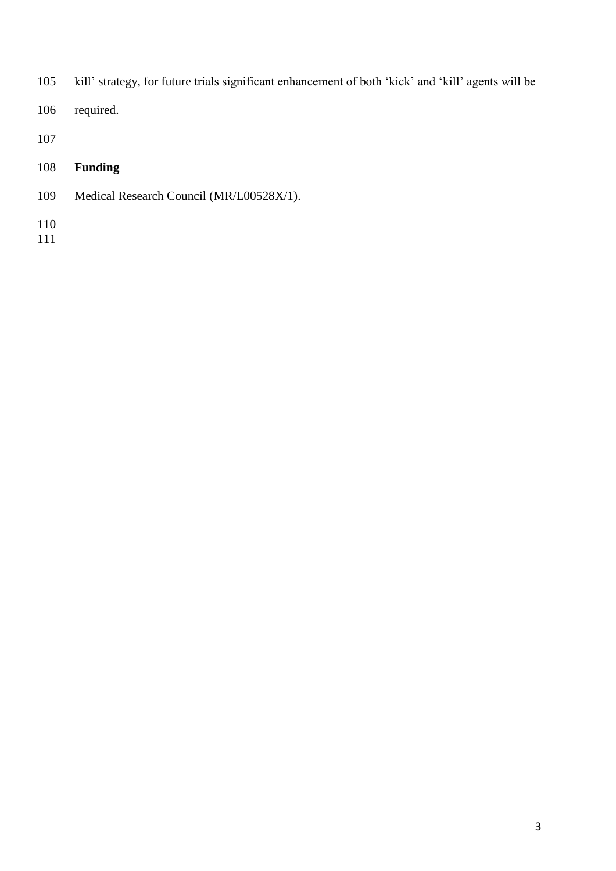- kill' strategy, for future trials significant enhancement of both 'kick' and 'kill' agents will be
- required.
- 
- **Funding**
- Medical Research Council (MR/L00528X/1).
- 
-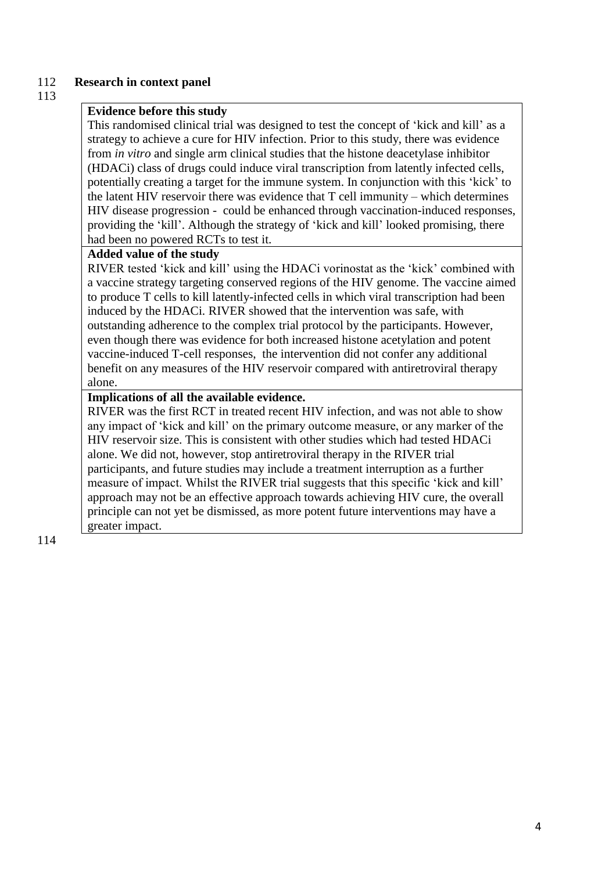## 112 **Research in context panel**

#### 113

## **Evidence before this study**

This randomised clinical trial was designed to test the concept of 'kick and kill' as a strategy to achieve a cure for HIV infection. Prior to this study, there was evidence from *in vitro* and single arm clinical studies that the histone deacetylase inhibitor (HDACi) class of drugs could induce viral transcription from latently infected cells, potentially creating a target for the immune system. In conjunction with this 'kick' to the latent HIV reservoir there was evidence that T cell immunity – which determines HIV disease progression - could be enhanced through vaccination-induced responses, providing the 'kill'. Although the strategy of 'kick and kill' looked promising, there had been no powered RCTs to test it.

## **Added value of the study**

RIVER tested 'kick and kill' using the HDACi vorinostat as the 'kick' combined with a vaccine strategy targeting conserved regions of the HIV genome. The vaccine aimed to produce T cells to kill latently-infected cells in which viral transcription had been induced by the HDACi. RIVER showed that the intervention was safe, with outstanding adherence to the complex trial protocol by the participants. However, even though there was evidence for both increased histone acetylation and potent vaccine-induced T-cell responses, the intervention did not confer any additional benefit on any measures of the HIV reservoir compared with antiretroviral therapy alone.

## **Implications of all the available evidence.**

RIVER was the first RCT in treated recent HIV infection, and was not able to show any impact of 'kick and kill' on the primary outcome measure, or any marker of the HIV reservoir size. This is consistent with other studies which had tested HDACi alone. We did not, however, stop antiretroviral therapy in the RIVER trial participants, and future studies may include a treatment interruption as a further measure of impact. Whilst the RIVER trial suggests that this specific 'kick and kill' approach may not be an effective approach towards achieving HIV cure, the overall principle can not yet be dismissed, as more potent future interventions may have a greater impact.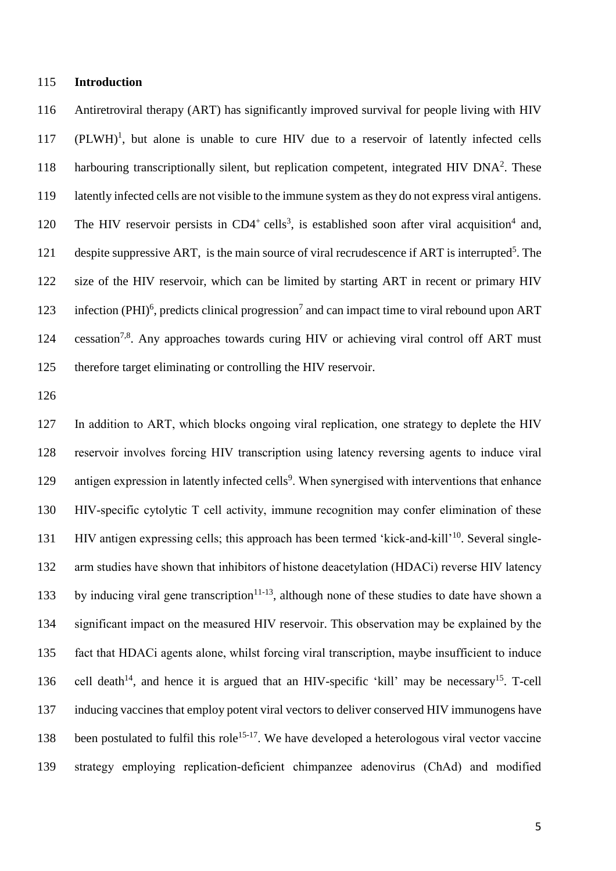### **Introduction**

 Antiretroviral therapy (ART) has significantly improved survival for people living with HIV (PLWH)<sup>1</sup>, but alone is unable to cure HIV due to a reservoir of latently infected cells 118 harbouring transcriptionally silent, but replication competent, integrated HIV DNA<sup>2</sup>. These latently infected cells are not visible to the immune system as they do not express viral antigens. 120 The HIV reservoir persists in  $CD4^+$  cells<sup>3</sup>, is established soon after viral acquisition<sup>4</sup> and, 121 despite suppressive ART, is the main source of viral recrudescence if ART is interrupted<sup>5</sup>. The size of the HIV reservoir, which can be limited by starting ART in recent or primary HIV 123 infection (PHI)<sup>6</sup>, predicts clinical progression<sup>7</sup> and can impact time to viral rebound upon ART 124 cessation<sup>7,8</sup>. Any approaches towards curing HIV or achieving viral control off ART must therefore target eliminating or controlling the HIV reservoir.

 In addition to ART, which blocks ongoing viral replication, one strategy to deplete the HIV reservoir involves forcing HIV transcription using latency reversing agents to induce viral 129 antigen expression in latently infected cells<sup>9</sup>. When synergised with interventions that enhance HIV-specific cytolytic T cell activity, immune recognition may confer elimination of these 131 HIV antigen expressing cells; this approach has been termed 'kick-and-kill'<sup>10</sup>. Several single- arm studies have shown that inhibitors of histone deacetylation (HDACi) reverse HIV latency 133 by inducing viral gene transcription<sup>11-13</sup>, although none of these studies to date have shown a significant impact on the measured HIV reservoir. This observation may be explained by the fact that HDACi agents alone, whilst forcing viral transcription, maybe insufficient to induce 136 cell death<sup>14</sup>, and hence it is argued that an HIV-specific 'kill' may be necessary<sup>15</sup>. T-cell inducing vaccines that employ potent viral vectors to deliver conserved HIV immunogens have 138 been postulated to fulfil this role<sup>15-17</sup>. We have developed a heterologous viral vector vaccine strategy employing replication-deficient chimpanzee adenovirus (ChAd) and modified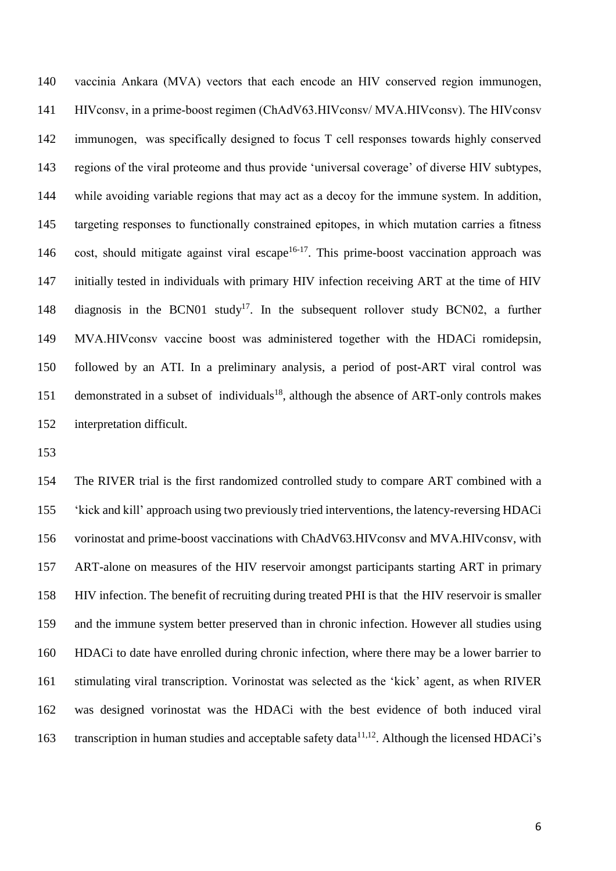vaccinia Ankara (MVA) vectors that each encode an HIV conserved region immunogen, HIVconsv, in a prime-boost regimen (ChAdV63.HIVconsv/ MVA.HIVconsv). The HIVconsv immunogen, was specifically designed to focus T cell responses towards highly conserved regions of the viral proteome and thus provide 'universal coverage' of diverse HIV subtypes, while avoiding variable regions that may act as a decoy for the immune system. In addition, targeting responses to functionally constrained epitopes, in which mutation carries a fitness 146 cost, should mitigate against viral escape<sup>16-17</sup>. This prime-boost vaccination approach was initially tested in individuals with primary HIV infection receiving ART at the time of HIV 148 diagnosis in the BCN01 study<sup>17</sup>. In the subsequent rollover study BCN02, a further MVA.HIVconsv vaccine boost was administered together with the HDACi romidepsin, followed by an ATI. In a preliminary analysis, a period of post-ART viral control was 151 demonstrated in a subset of individuals<sup>18</sup>, although the absence of ART-only controls makes interpretation difficult.

 The RIVER trial is the first randomized controlled study to compare ART combined with a 'kick and kill' approach using two previously tried interventions, the latency-reversing HDACi vorinostat and prime-boost vaccinations with ChAdV63.HIVconsv and MVA.HIVconsv, with ART-alone on measures of the HIV reservoir amongst participants starting ART in primary HIV infection. The benefit of recruiting during treated PHI is that the HIV reservoir is smaller and the immune system better preserved than in chronic infection. However all studies using HDACi to date have enrolled during chronic infection, where there may be a lower barrier to stimulating viral transcription. Vorinostat was selected as the 'kick' agent, as when RIVER was designed vorinostat was the HDACi with the best evidence of both induced viral 163 transcription in human studies and acceptable safety data $11,12$ . Although the licensed HDACi's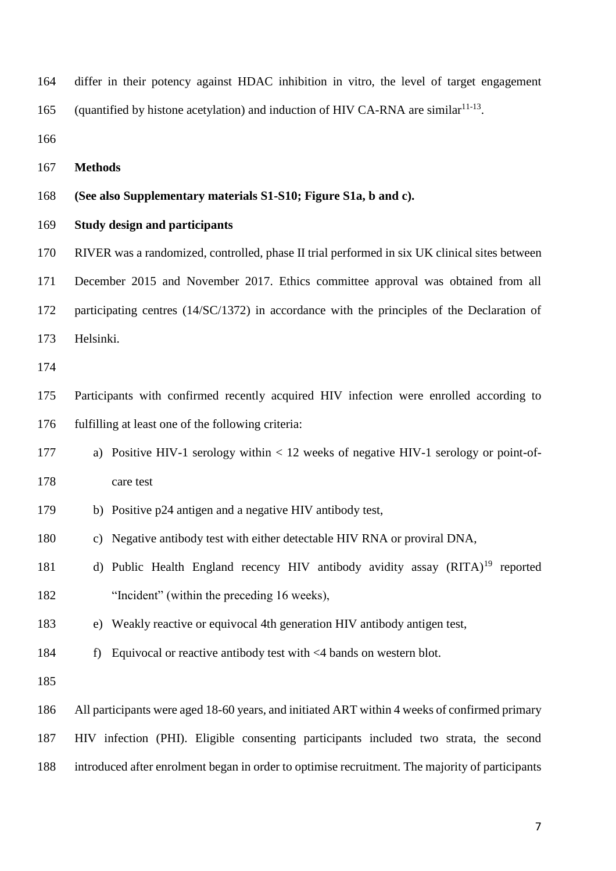differ in their potency against HDAC inhibition in vitro, the level of target engagement 165 (quantified by histone acetylation) and induction of HIV CA-RNA are similar<sup>11-13</sup>.

#### **(See also Supplementary materials S1-S10; Figure S1a, b and c).**

## **Study design and participants**

RIVER was a randomized, controlled, phase II trial performed in six UK clinical sites between

December 2015 and November 2017. Ethics committee approval was obtained from all

172 participating centres (14/SC/1372) in accordance with the principles of the Declaration of Helsinki.

 Participants with confirmed recently acquired HIV infection were enrolled according to fulfilling at least one of the following criteria:

- a) Positive HIV-1 serology within < 12 weeks of negative HIV-1 serology or point-of-care test
- b) Positive p24 antigen and a negative HIV antibody test,
- c) Negative antibody test with either detectable HIV RNA or proviral DNA,
- 181 d) Public Health England recency HIV antibody avidity assay (RITA)<sup>19</sup> reported "Incident" (within the preceding 16 weeks),
- e) Weakly reactive or equivocal 4th generation HIV antibody antigen test,
- f) Equivocal or reactive antibody test with <4 bands on western blot.

 All participants were aged 18-60 years, and initiated ART within 4 weeks of confirmed primary HIV infection (PHI). Eligible consenting participants included two strata, the second

introduced after enrolment began in order to optimise recruitment. The majority of participants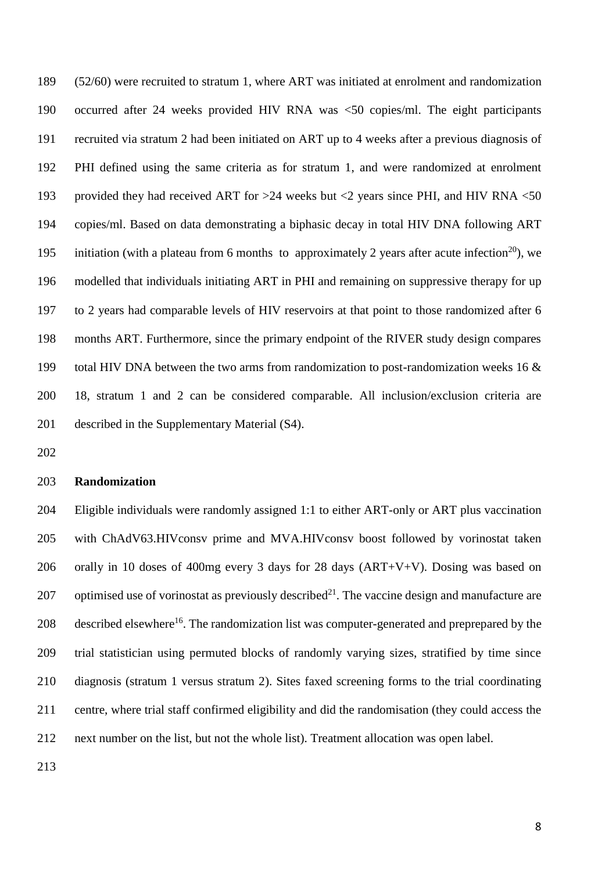(52/60) were recruited to stratum 1, where ART was initiated at enrolment and randomization occurred after 24 weeks provided HIV RNA was <50 copies/ml. The eight participants recruited via stratum 2 had been initiated on ART up to 4 weeks after a previous diagnosis of PHI defined using the same criteria as for stratum 1, and were randomized at enrolment provided they had received ART for >24 weeks but <2 years since PHI, and HIV RNA <50 copies/ml. Based on data demonstrating a biphasic decay in total HIV DNA following ART initiation (with a plateau from 6 months to approximately 2 years after acute infection<sup>20</sup>), we modelled that individuals initiating ART in PHI and remaining on suppressive therapy for up to 2 years had comparable levels of HIV reservoirs at that point to those randomized after 6 months ART. Furthermore, since the primary endpoint of the RIVER study design compares total HIV DNA between the two arms from randomization to post-randomization weeks 16 & 18, stratum 1 and 2 can be considered comparable. All inclusion/exclusion criteria are described in the Supplementary Material (S4).

#### **Randomization**

 Eligible individuals were randomly assigned 1:1 to either ART-only or ART plus vaccination with ChAdV63.HIVconsv prime and MVA.HIVconsv boost followed by vorinostat taken orally in 10 doses of 400mg every 3 days for 28 days (ART+V+V). Dosing was based on 207 optimised use of vorinostat as previously described<sup>21</sup>. The vaccine design and manufacture are 208 described elsewhere<sup>16</sup>. The randomization list was computer-generated and preprepared by the trial statistician using permuted blocks of randomly varying sizes, stratified by time since diagnosis (stratum 1 versus stratum 2). Sites faxed screening forms to the trial coordinating centre, where trial staff confirmed eligibility and did the randomisation (they could access the next number on the list, but not the whole list). Treatment allocation was open label.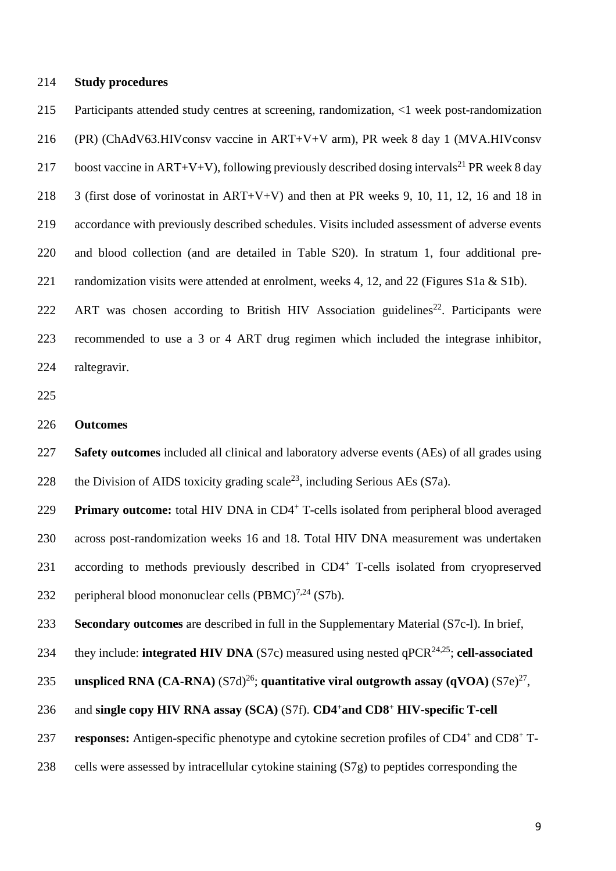## **Study procedures**

 Participants attended study centres at screening, randomization, <1 week post-randomization (PR) (ChAdV63.HIVconsv vaccine in ART+V+V arm), PR week 8 day 1 (MVA.HIVconsv 217 boost vaccine in ART+V+V), following previously described dosing intervals<sup>21</sup> PR week 8 day 3 (first dose of vorinostat in ART+V+V) and then at PR weeks 9, 10, 11, 12, 16 and 18 in accordance with previously described schedules. Visits included assessment of adverse events and blood collection (and are detailed in Table S20). In stratum 1, four additional pre-221 randomization visits were attended at enrolment, weeks 4, 12, and 22 (Figures S1a & S1b). 222 ART was chosen according to British HIV Association guidelines<sup>22</sup>. Participants were recommended to use a 3 or 4 ART drug regimen which included the integrase inhibitor,

raltegravir.

#### **Outcomes**

 **Safety outcomes** included all clinical and laboratory adverse events (AEs) of all grades using 228 the Division of AIDS toxicity grading scale<sup>23</sup>, including Serious AEs (S7a).

229 Primary outcome: total HIV DNA in CD4<sup>+</sup> T-cells isolated from peripheral blood averaged across post-randomization weeks 16 and 18. Total HIV DNA measurement was undertaken 231 according to methods previously described in CD4<sup>+</sup> T-cells isolated from cryopreserved 232 peripheral blood mononuclear cells  $(PBMC)^{7,24}$  (S7b).

**Secondary outcomes** are described in full in the Supplementary Material (S7c-l). In brief,

234 they include: **integrated HIV DNA** (S7c) measured using nested  $qPCR^{24,25}$ ; **cell-associated** 

**unspliced RNA (CA-RNA)**  $(S7d)^{26}$ **; quantitative viral outgrowth assay**  $(qVOA) (S7e)^{27}$ **,** 

## and **single copy HIV RNA assay (SCA)** (S7f). **CD4<sup>+</sup>and CD8 <sup>+</sup> HIV-specific T-cell**

237 responses: Antigen-specific phenotype and cytokine secretion profiles of CD4<sup>+</sup> and CD8<sup>+</sup> T-

cells were assessed by intracellular cytokine staining (S7g) to peptides corresponding the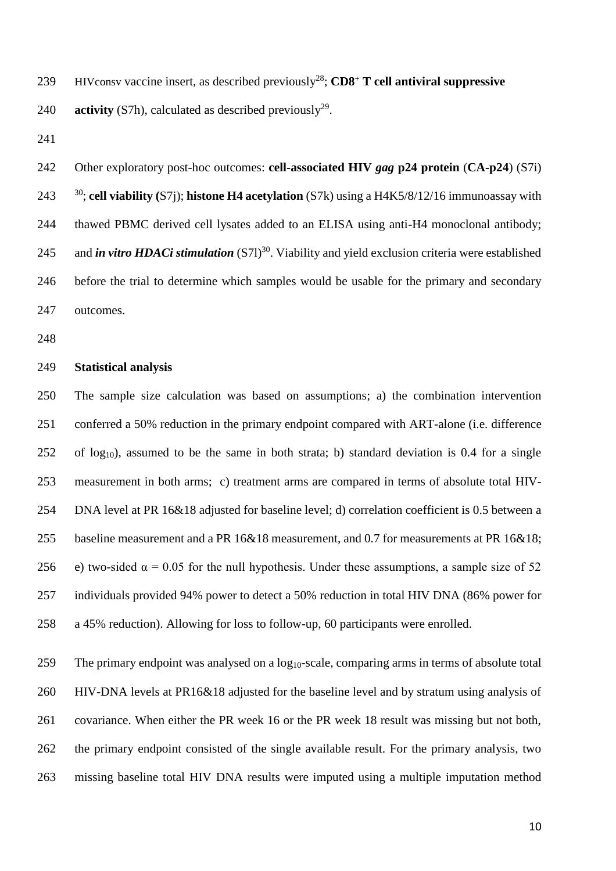239 HIVconsv vaccine insert, as described previously<sup>28</sup>; **CD8<sup>+</sup> T cell antiviral suppressive** 

240 **activity** (S7h), calculated as described previously<sup>29</sup>.

 Other exploratory post-hoc outcomes: **cell-associated HIV** *gag* **p24 protein** (**CA-p24**) (S7i) ; **cell viability (**S7j); **histone H4 acetylation** (S7k) using a H4K5/8/12/16 immunoassay with thawed PBMC derived cell lysates added to an ELISA using anti-H4 monoclonal antibody; 245 and *in vitro HDACi stimulation* (S71)<sup>30</sup>. Viability and yield exclusion criteria were established before the trial to determine which samples would be usable for the primary and secondary outcomes.

## **Statistical analysis**

 The sample size calculation was based on assumptions; a) the combination intervention conferred a 50% reduction in the primary endpoint compared with ART-alone (i.e. difference of log<sub>10</sub>), assumed to be the same in both strata; b) standard deviation is 0.4 for a single measurement in both arms; c) treatment arms are compared in terms of absolute total HIV- DNA level at PR 16&18 adjusted for baseline level; d) correlation coefficient is 0.5 between a baseline measurement and a PR 16&18 measurement, and 0.7 for measurements at PR 16&18; 256 e) two-sided  $\alpha = 0.05$  for the null hypothesis. Under these assumptions, a sample size of 52 individuals provided 94% power to detect a 50% reduction in total HIV DNA (86% power for a 45% reduction). Allowing for loss to follow-up, 60 participants were enrolled.

259 The primary endpoint was analysed on a log<sub>10</sub>-scale, comparing arms in terms of absolute total HIV-DNA levels at PR16&18 adjusted for the baseline level and by stratum using analysis of covariance. When either the PR week 16 or the PR week 18 result was missing but not both, the primary endpoint consisted of the single available result. For the primary analysis, two missing baseline total HIV DNA results were imputed using a multiple imputation method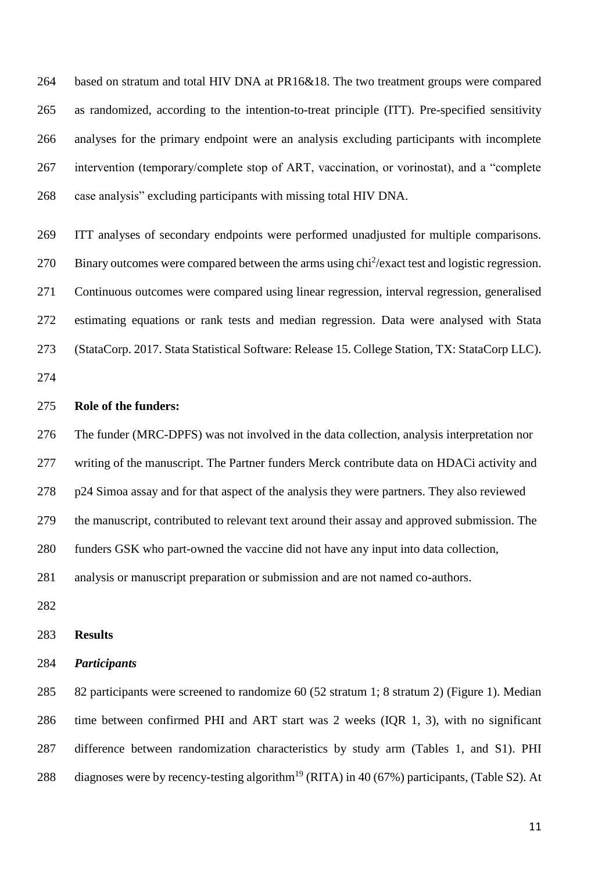based on stratum and total HIV DNA at PR16&18. The two treatment groups were compared as randomized, according to the intention-to-treat principle (ITT). Pre-specified sensitivity analyses for the primary endpoint were an analysis excluding participants with incomplete intervention (temporary/complete stop of ART, vaccination, or vorinostat), and a "complete case analysis" excluding participants with missing total HIV DNA.

 ITT analyses of secondary endpoints were performed unadjusted for multiple comparisons. 270 Binary outcomes were compared between the arms using  $\text{chi}^2/\text{exact}$  test and logistic regression. Continuous outcomes were compared using linear regression, interval regression, generalised estimating equations or rank tests and median regression. Data were analysed with Stata (StataCorp. 2017. Stata Statistical Software: Release 15. College Station, TX: StataCorp LLC).

## **Role of the funders:**

 The funder (MRC-DPFS) was not involved in the data collection, analysis interpretation nor writing of the manuscript. The Partner funders Merck contribute data on HDACi activity and p24 Simoa assay and for that aspect of the analysis they were partners. They also reviewed the manuscript, contributed to relevant text around their assay and approved submission. The funders GSK who part-owned the vaccine did not have any input into data collection, analysis or manuscript preparation or submission and are not named co-authors.

#### **Results**

## *Participants*

 82 participants were screened to randomize 60 (52 stratum 1; 8 stratum 2) (Figure 1). Median time between confirmed PHI and ART start was 2 weeks (IQR 1, 3), with no significant difference between randomization characteristics by study arm (Tables 1, and S1). PHI 288 diagnoses were by recency-testing algorithm<sup>19</sup> (RITA) in 40 (67%) participants, (Table S2). At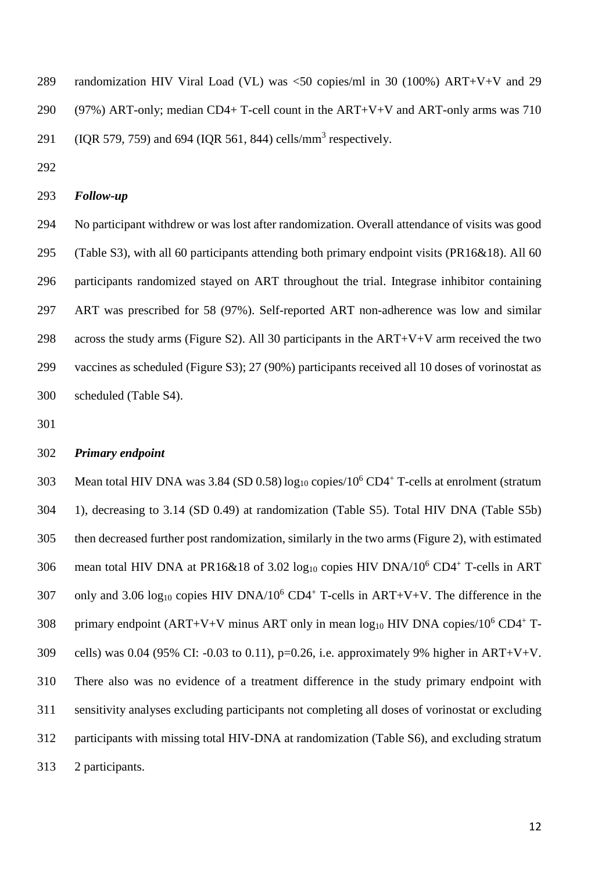- randomization HIV Viral Load (VL) was <50 copies/ml in 30 (100%) ART+V+V and 29 290 (97%) ART-only; median CD4+ T-cell count in the ART+V+V and ART-only arms was 710 291 (IQR 579, 759) and 694 (IQR 561, 844) cells/mm<sup>3</sup> respectively.
- 

#### *Follow-up*

 No participant withdrew or was lost after randomization. Overall attendance of visits was good (Table S3), with all 60 participants attending both primary endpoint visits (PR16&18). All 60 participants randomized stayed on ART throughout the trial. Integrase inhibitor containing ART was prescribed for 58 (97%). Self-reported ART non-adherence was low and similar 298 across the study arms (Figure S2). All 30 participants in the  $ART+V+V$  arm received the two vaccines as scheduled (Figure S3); 27 (90%) participants received all 10 doses of vorinostat as scheduled (Table S4).

## *Primary endpoint*

303 Mean total HIV DNA was 3.84 (SD 0.58)  $log_{10}$  copies/ $10^6$  CD4<sup>+</sup> T-cells at enrolment (stratum 1), decreasing to 3.14 (SD 0.49) at randomization (Table S5). Total HIV DNA (Table S5b) then decreased further post randomization, similarly in the two arms (Figure 2), with estimated 306 mean total HIV DNA at PR16&18 of 3.02  $log_{10}$  copies HIV DNA/10<sup>6</sup> CD4<sup>+</sup> T-cells in ART 307 only and 3.06  $log_{10}$  copies HIV DNA/10<sup>6</sup> CD4<sup>+</sup> T-cells in ART+V+V. The difference in the 308 primary endpoint  $(ART+V+V)$  minus ART only in mean  $log_{10}$  HIV DNA copies/10<sup>6</sup> CD4<sup>+</sup> T-309 cells) was 0.04 (95% CI: -0.03 to 0.11), p=0.26, i.e. approximately 9% higher in ART+V+V. There also was no evidence of a treatment difference in the study primary endpoint with sensitivity analyses excluding participants not completing all doses of vorinostat or excluding participants with missing total HIV-DNA at randomization (Table S6), and excluding stratum 2 participants.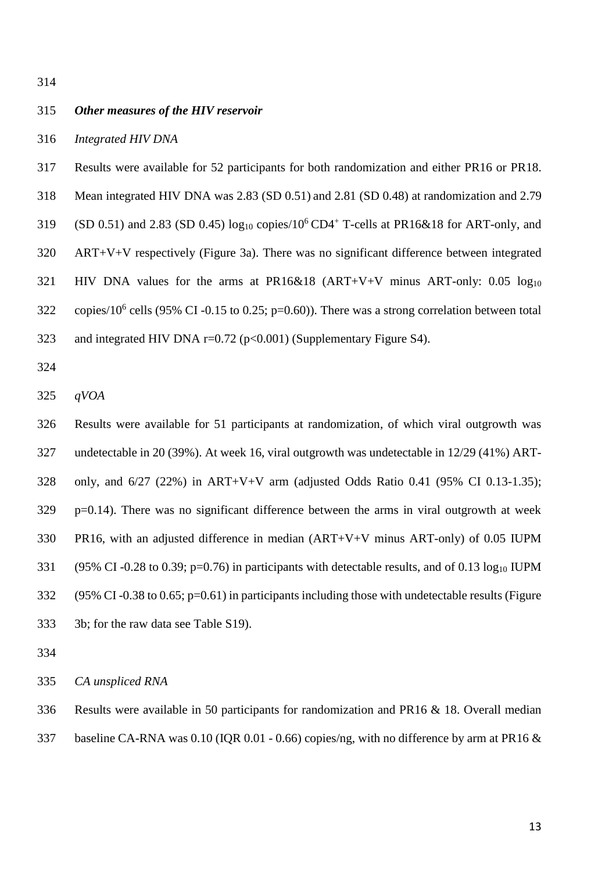#### *Other measures of the HIV reservoir*

- *Integrated HIV DNA*
- Results were available for 52 participants for both randomization and either PR16 or PR18.
- Mean integrated HIV DNA was 2.83 (SD 0.51) and 2.81 (SD 0.48) at randomization and 2.79
- 319 (SD 0.51) and 2.83 (SD 0.45)  $log_{10}$  copies/10<sup>6</sup> CD4<sup>+</sup> T-cells at PR16&18 for ART-only, and
- ART+V+V respectively (Figure 3a). There was no significant difference between integrated
- 321 HIV DNA values for the arms at PR16&18 (ART+V+V minus ART-only: 0.05 log<sub>10</sub>
- 322 copies/10<sup>6</sup> cells (95% CI -0.15 to 0.25; p=0.60)). There was a strong correlation between total
- 323 and integrated HIV DNA  $r=0.72$  ( $p<0.001$ ) (Supplementary Figure S4).
- 
- *qVOA*

 Results were available for 51 participants at randomization, of which viral outgrowth was undetectable in 20 (39%). At week 16, viral outgrowth was undetectable in 12/29 (41%) ART- only, and 6/27 (22%) in ART+V+V arm (adjusted Odds Ratio 0.41 (95% CI 0.13-1.35); p=0.14). There was no significant difference between the arms in viral outgrowth at week PR16, with an adjusted difference in median (ART+V+V minus ART-only) of 0.05 IUPM (95% CI -0.28 to 0.39; p=0.76) in participants with detectable results, and of 0.13 log<sup>10</sup> IUPM (95% CI -0.38 to 0.65; p=0.61) in participants including those with undetectable results (Figure 3b; for the raw data see Table S19).

*CA unspliced RNA* 

Results were available in 50 participants for randomization and PR16 & 18. Overall median

baseline CA-RNA was 0.10 (IQR 0.01 - 0.66) copies/ng, with no difference by arm at PR16 &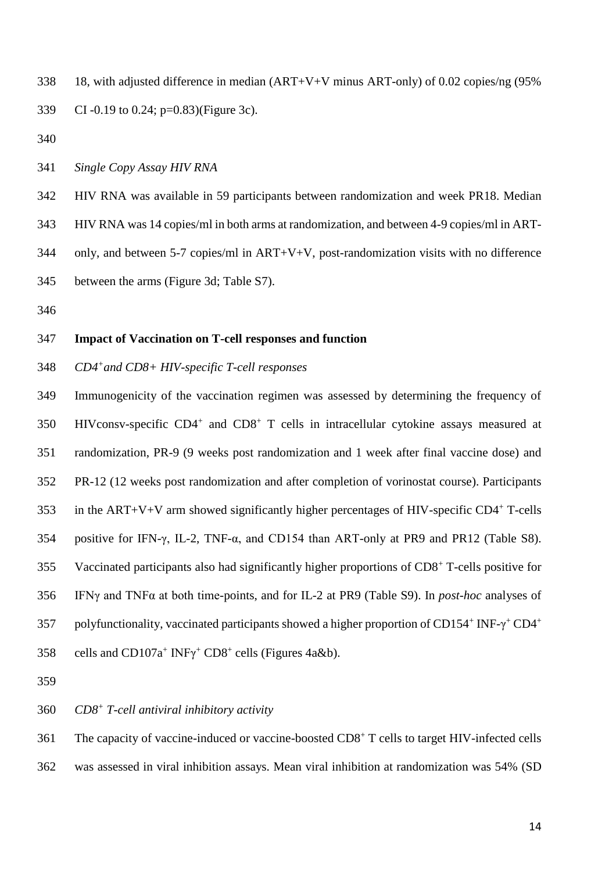- 18, with adjusted difference in median (ART+V+V minus ART-only) of 0.02 copies/ng (95% CI -0.19 to 0.24; p=0.83)(Figure 3c).
- 
- *Single Copy Assay HIV RNA*
- HIV RNA was available in 59 participants between randomization and week PR18. Median
- HIV RNA was 14 copies/ml in both arms at randomization, and between 4-9 copies/ml in ART-
- only, and between 5-7 copies/ml in ART+V+V, post-randomization visits with no difference
- between the arms (Figure 3d; Table S7).
- 

#### **Impact of Vaccination on T-cell responses and function**

*CD4<sup>+</sup> and CD8+ HIV-specific T-cell responses*

 Immunogenicity of the vaccination regimen was assessed by determining the frequency of 350 HIVconsv-specific CD4<sup>+</sup> and CD8<sup>+</sup> T cells in intracellular cytokine assays measured at randomization, PR-9 (9 weeks post randomization and 1 week after final vaccine dose) and PR-12 (12 weeks post randomization and after completion of vorinostat course). Participants 353 in the  $ART+V+V$  arm showed significantly higher percentages of HIV-specific  $CD4^+$  T-cells positive for IFN-γ, IL-2, TNF-α, and CD154 than ART-only at PR9 and PR12 (Table S8). 355 Vaccinated participants also had significantly higher proportions of CD8<sup>+</sup> T-cells positive for IFNγ and TNFα at both time-points, and for IL-2 at PR9 (Table S9). In *post-hoc* analyses of polyfunctionality, vaccinated participants showed a higher proportion of CD154<sup>+</sup> INF- $\gamma^+$ CD4<sup>+</sup> 358 cells and  $CD107a^+$  INF $\gamma$ <sup>+</sup> CD8<sup>+</sup> cells (Figures 4a&b).

- 
- *CD8<sup>+</sup> T-cell antiviral inhibitory activity*
- 361 The capacity of vaccine-induced or vaccine-boosted CD8<sup>+</sup> T cells to target HIV-infected cells
- was assessed in viral inhibition assays. Mean viral inhibition at randomization was 54% (SD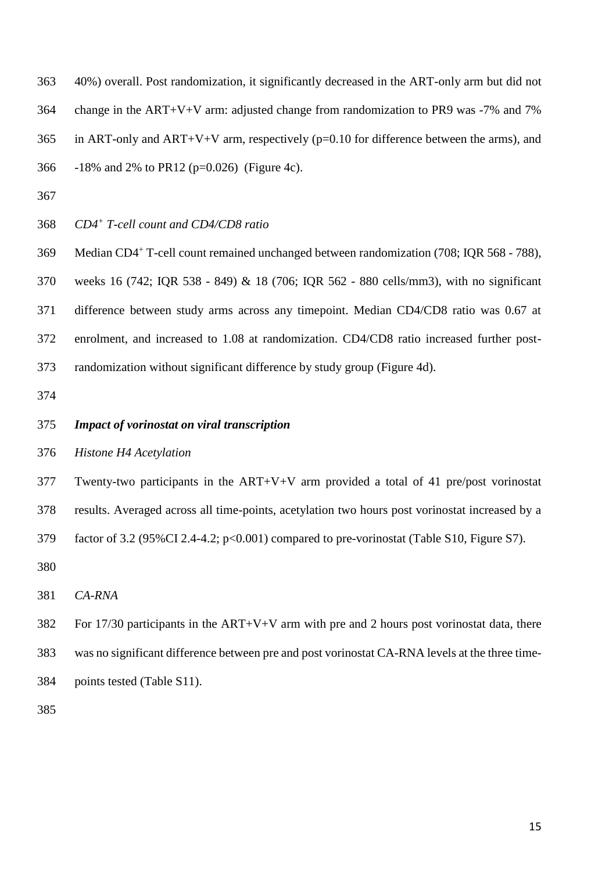40%) overall. Post randomization, it significantly decreased in the ART-only arm but did not change in the ART+V+V arm: adjusted change from randomization to PR9 was -7% and 7% 365 in ART-only and ART+V+V arm, respectively ( $p=0.10$  for difference between the arms), and

- -18% and 2% to PR12 (p=0.026) (Figure 4c).
- 
- *CD4<sup>+</sup> T-cell count and CD4/CD8 ratio*

369 Median CD4<sup>+</sup> T-cell count remained unchanged between randomization (708; IQR 568 - 788), weeks 16 (742; IQR 538 - 849) & 18 (706; IQR 562 - 880 cells/mm3), with no significant difference between study arms across any timepoint. Median CD4/CD8 ratio was 0.67 at enrolment, and increased to 1.08 at randomization. CD4/CD8 ratio increased further post-randomization without significant difference by study group (Figure 4d).

#### *Impact of vorinostat on viral transcription*

*Histone H4 Acetylation*

 Twenty-two participants in the ART+V+V arm provided a total of 41 pre/post vorinostat results. Averaged across all time-points, acetylation two hours post vorinostat increased by a factor of 3.2 (95%CI 2.4-4.2; p<0.001) compared to pre-vorinostat (Table S10, Figure S7).

*CA-RNA*

 For 17/30 participants in the ART+V+V arm with pre and 2 hours post vorinostat data, there was no significant difference between pre and post vorinostat CA-RNA levels at the three time-points tested (Table S11).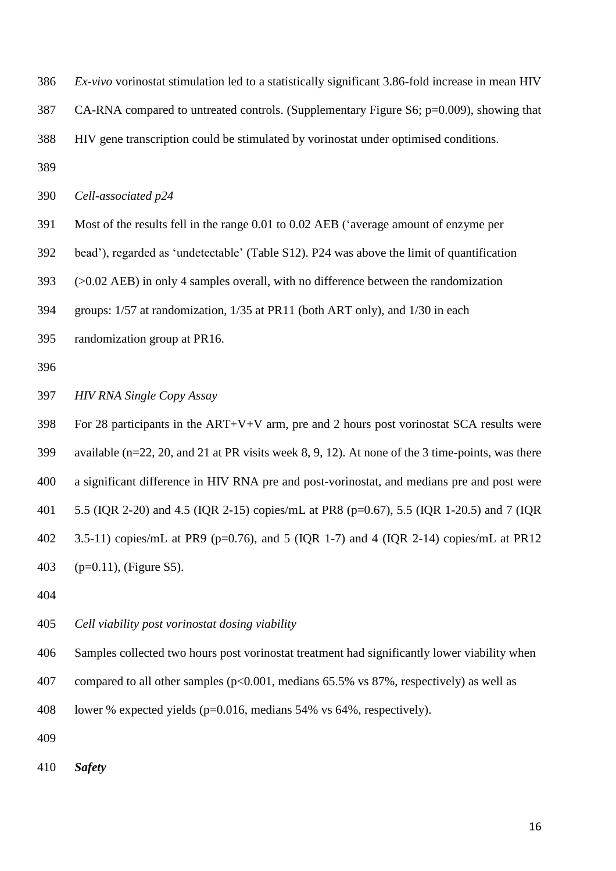*Ex-vivo* vorinostat stimulation led to a statistically significant 3.86-fold increase in mean HIV

CA-RNA compared to untreated controls. (Supplementary Figure S6; p=0.009), showing that

HIV gene transcription could be stimulated by vorinostat under optimised conditions.

#### *Cell-associated p24*

Most of the results fell in the range 0.01 to 0.02 AEB ('average amount of enzyme per

bead'), regarded as 'undetectable' (Table S12). P24 was above the limit of quantification

(>0.02 AEB) in only 4 samples overall, with no difference between the randomization

groups: 1/57 at randomization, 1/35 at PR11 (both ART only), and 1/30 in each

randomization group at PR16.

## *HIV RNA Single Copy Assay*

 For 28 participants in the ART+V+V arm, pre and 2 hours post vorinostat SCA results were available (n=22, 20, and 21 at PR visits week 8, 9, 12). At none of the 3 time-points, was there a significant difference in HIV RNA pre and post-vorinostat, and medians pre and post were 5.5 (IQR 2-20) and 4.5 (IQR 2-15) copies/mL at PR8 (p=0.67), 5.5 (IQR 1-20.5) and 7 (IQR 3.5-11) copies/mL at PR9 (p=0.76), and 5 (IQR 1-7) and 4 (IQR 2-14) copies/mL at PR12 (p=0.11), (Figure S5).

*Cell viability post vorinostat dosing viability*

Samples collected two hours post vorinostat treatment had significantly lower viability when

compared to all other samples (p<0.001, medians 65.5% vs 87%, respectively) as well as

lower % expected yields (p=0.016, medians 54% vs 64%, respectively).

*Safety*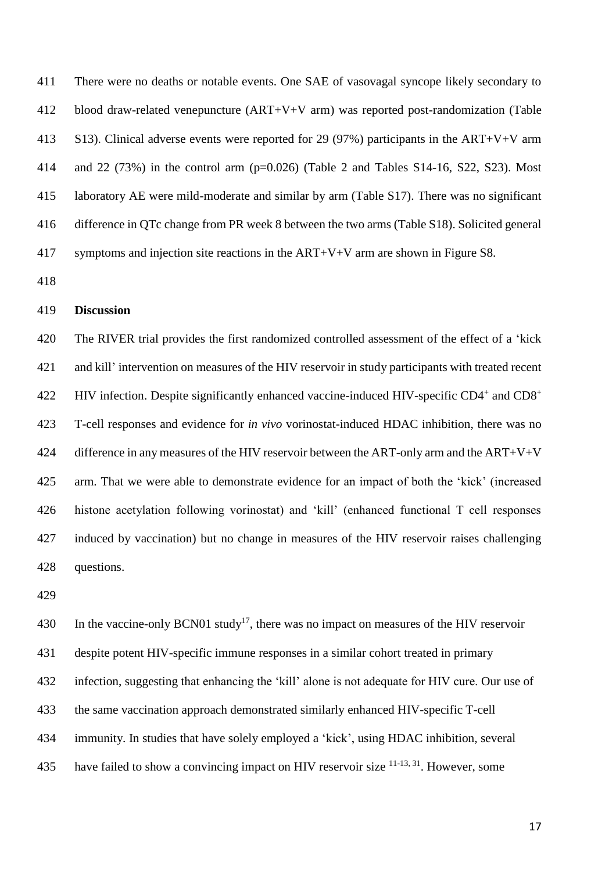There were no deaths or notable events. One SAE of vasovagal syncope likely secondary to blood draw-related venepuncture (ART+V+V arm) was reported post-randomization (Table S13). Clinical adverse events were reported for 29 (97%) participants in the ART+V+V arm and 22 (73%) in the control arm (p=0.026) (Table 2 and Tables S14-16, S22, S23). Most laboratory AE were mild-moderate and similar by arm (Table S17). There was no significant difference in QTc change from PR week 8 between the two arms (Table S18). Solicited general symptoms and injection site reactions in the ART+V+V arm are shown in Figure S8.

## **Discussion**

 The RIVER trial provides the first randomized controlled assessment of the effect of a 'kick and kill' intervention on measures of the HIV reservoir in study participants with treated recent HIV infection. Despite significantly enhanced vaccine-induced HIV-specific CD4<sup>+</sup> and CD8<sup>+</sup> T-cell responses and evidence for *in vivo* vorinostat-induced HDAC inhibition, there was no 424 difference in any measures of the HIV reservoir between the ART-only arm and the  $ART+V+V$  arm. That we were able to demonstrate evidence for an impact of both the 'kick' (increased histone acetylation following vorinostat) and 'kill' (enhanced functional T cell responses induced by vaccination) but no change in measures of the HIV reservoir raises challenging questions.

430 In the vaccine-only BCN01 study<sup>17</sup>, there was no impact on measures of the HIV reservoir despite potent HIV-specific immune responses in a similar cohort treated in primary infection, suggesting that enhancing the 'kill' alone is not adequate for HIV cure. Our use of the same vaccination approach demonstrated similarly enhanced HIV-specific T-cell immunity. In studies that have solely employed a 'kick', using HDAC inhibition, several 435 have failed to show a convincing impact on HIV reservoir size  $11-13, 31$ . However, some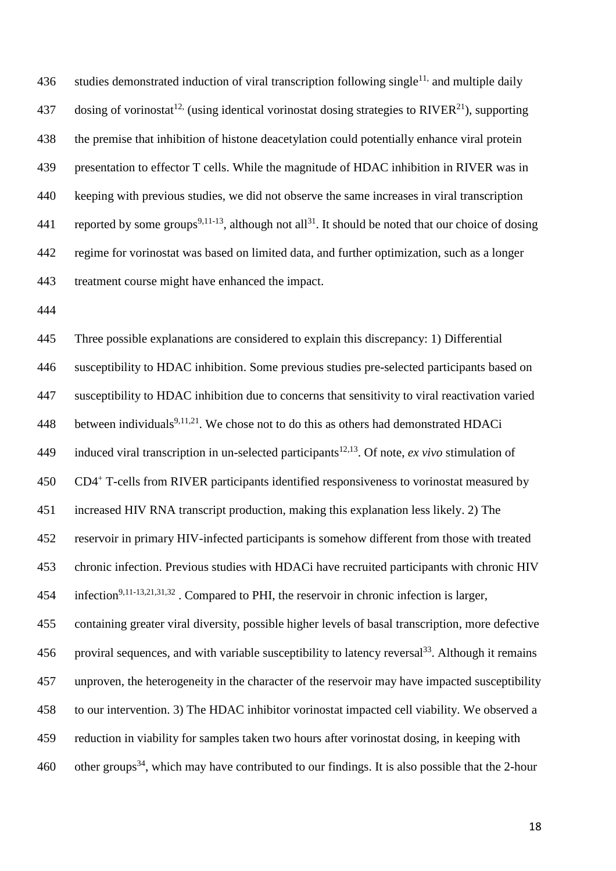436 studies demonstrated induction of viral transcription following single<sup>11,</sup> and multiple daily 437 dosing of vorinostat<sup>12,</sup> (using identical vorinostat dosing strategies to RIVER<sup>21</sup>), supporting the premise that inhibition of histone deacetylation could potentially enhance viral protein presentation to effector T cells. While the magnitude of HDAC inhibition in RIVER was in keeping with previous studies, we did not observe the same increases in viral transcription 441 reported by some groups<sup>9,11-13</sup>, although not all<sup>31</sup>. It should be noted that our choice of dosing regime for vorinostat was based on limited data, and further optimization, such as a longer treatment course might have enhanced the impact.

 Three possible explanations are considered to explain this discrepancy: 1) Differential susceptibility to HDAC inhibition. Some previous studies pre-selected participants based on susceptibility to HDAC inhibition due to concerns that sensitivity to viral reactivation varied 448 between individuals<sup>9,11,21</sup>. We chose not to do this as others had demonstrated HDACi 149 induced viral transcription in un-selected participants<sup>12,13</sup>. Of note, *ex vivo* stimulation of 450 CD4<sup>+</sup> T-cells from RIVER participants identified responsiveness to vorinostat measured by increased HIV RNA transcript production, making this explanation less likely. 2) The reservoir in primary HIV-infected participants is somehow different from those with treated chronic infection. Previous studies with HDACi have recruited participants with chronic HIV 454 infection<sup>9,11-13,21,31,32</sup>. Compared to PHI, the reservoir in chronic infection is larger, containing greater viral diversity, possible higher levels of basal transcription, more defective 456 proviral sequences, and with variable susceptibility to latency reversal<sup>33</sup>. Although it remains unproven, the heterogeneity in the character of the reservoir may have impacted susceptibility to our intervention. 3) The HDAC inhibitor vorinostat impacted cell viability. We observed a reduction in viability for samples taken two hours after vorinostat dosing, in keeping with 460 other groups<sup>34</sup>, which may have contributed to our findings. It is also possible that the 2-hour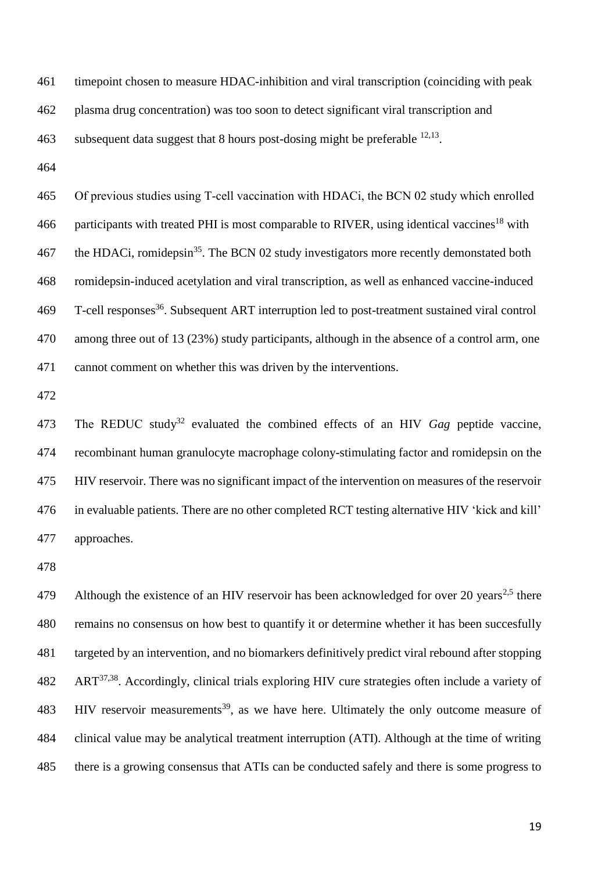| 461 | time point chosen to measure HDAC-inhibition and viral transcription (coinciding with peak |
|-----|--------------------------------------------------------------------------------------------|
| 462 | plasma drug concentration) was too soon to detect significant viral transcription and      |
| 463 | subsequent data suggest that 8 hours post-dosing might be preferable $^{12,13}$ .          |

 Of previous studies using T-cell vaccination with HDACi, the BCN 02 study which enrolled 466 participants with treated PHI is most comparable to RIVER, using identical vaccines<sup>18</sup> with 467 the HDACi, romidepsin<sup>35</sup>. The BCN 02 study investigators more recently demonstated both romidepsin-induced acetylation and viral transcription, as well as enhanced vaccine-induced 469 T-cell responses<sup>36</sup>. Subsequent ART interruption led to post-treatment sustained viral control among three out of 13 (23%) study participants, although in the absence of a control arm, one cannot comment on whether this was driven by the interventions.

473 The REDUC study<sup>32</sup> evaluated the combined effects of an HIV *Gag* peptide vaccine, recombinant human granulocyte macrophage colony-stimulating factor and romidepsin on the HIV reservoir. There was no significant impact of the intervention on measures of the reservoir in evaluable patients. There are no other completed RCT testing alternative HIV 'kick and kill' approaches.

Although the existence of an HIV reservoir has been acknowledged for over 20 years<sup>2,5</sup> there remains no consensus on how best to quantify it or determine whether it has been succesfully targeted by an intervention, and no biomarkers definitively predict viral rebound after stopping ART37,38 . Accordingly, clinical trials exploring HIV cure strategies often include a variety of 483 HIV reservoir measurements<sup>39</sup>, as we have here. Ultimately the only outcome measure of clinical value may be analytical treatment interruption (ATI). Although at the time of writing there is a growing consensus that ATIs can be conducted safely and there is some progress to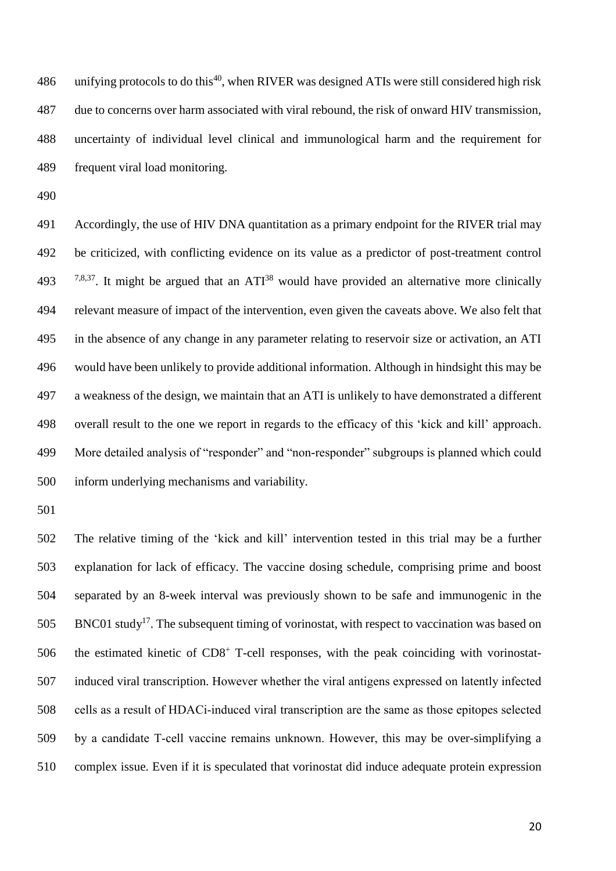486 unifying protocols to do this<sup>40</sup>, when RIVER was designed ATIs were still considered high risk due to concerns over harm associated with viral rebound, the risk of onward HIV transmission, uncertainty of individual level clinical and immunological harm and the requirement for frequent viral load monitoring.

 Accordingly, the use of HIV DNA quantitation as a primary endpoint for the RIVER trial may be criticized, with conflicting evidence on its value as a predictor of post-treatment control  $\frac{7,8,37}{ }$ . It might be argued that an ATI<sup>38</sup> would have provided an alternative more clinically relevant measure of impact of the intervention, even given the caveats above. We also felt that in the absence of any change in any parameter relating to reservoir size or activation, an ATI would have been unlikely to provide additional information. Although in hindsight this may be a weakness of the design, we maintain that an ATI is unlikely to have demonstrated a different overall result to the one we report in regards to the efficacy of this 'kick and kill' approach. More detailed analysis of "responder" and "non-responder" subgroups is planned which could inform underlying mechanisms and variability.

 The relative timing of the 'kick and kill' intervention tested in this trial may be a further explanation for lack of efficacy. The vaccine dosing schedule, comprising prime and boost separated by an 8-week interval was previously shown to be safe and immunogenic in the BNC01 study<sup>17</sup>. The subsequent timing of vorinostat, with respect to vaccination was based on 506 the estimated kinetic of CD8<sup>+</sup> T-cell responses, with the peak coinciding with vorinostat- induced viral transcription. However whether the viral antigens expressed on latently infected cells as a result of HDACi-induced viral transcription are the same as those epitopes selected by a candidate T-cell vaccine remains unknown. However, this may be over-simplifying a complex issue. Even if it is speculated that vorinostat did induce adequate protein expression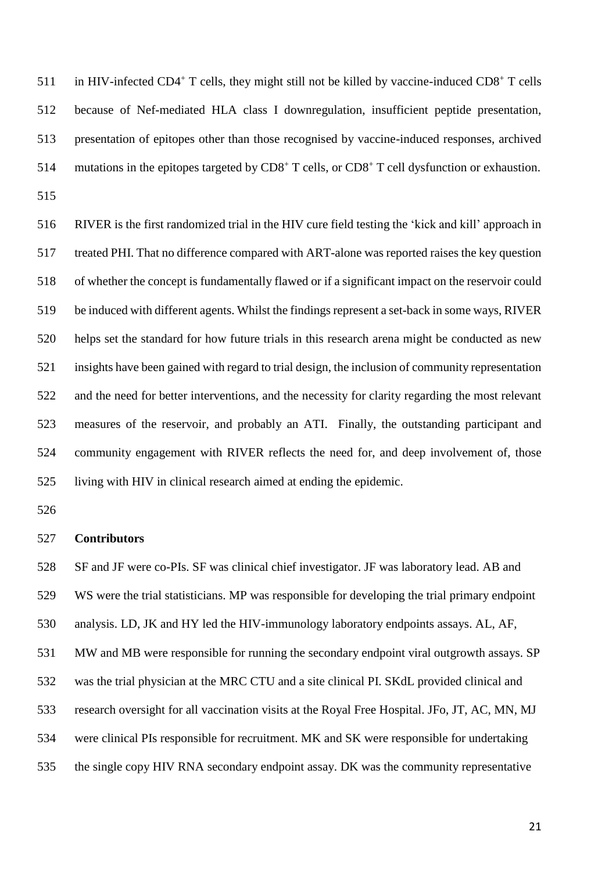511 in HIV-infected CD4<sup>+</sup> T cells, they might still not be killed by vaccine-induced CD8<sup>+</sup> T cells because of Nef-mediated HLA class I downregulation, insufficient peptide presentation, presentation of epitopes other than those recognised by vaccine-induced responses, archived 514 mutations in the epitopes targeted by  $CD8^+$  T cells, or  $CD8^+$  T cell dysfunction or exhaustion. 

 RIVER is the first randomized trial in the HIV cure field testing the 'kick and kill' approach in treated PHI. That no difference compared with ART-alone was reported raises the key question of whether the concept is fundamentally flawed or if a significant impact on the reservoir could be induced with different agents. Whilst the findings represent a set-back in some ways, RIVER helps set the standard for how future trials in this research arena might be conducted as new insights have been gained with regard to trial design, the inclusion of community representation and the need for better interventions, and the necessity for clarity regarding the most relevant measures of the reservoir, and probably an ATI. Finally, the outstanding participant and community engagement with RIVER reflects the need for, and deep involvement of, those living with HIV in clinical research aimed at ending the epidemic.

#### **Contributors**

 SF and JF were co-PIs. SF was clinical chief investigator. JF was laboratory lead. AB and WS were the trial statisticians. MP was responsible for developing the trial primary endpoint analysis. LD, JK and HY led the HIV-immunology laboratory endpoints assays. AL, AF, MW and MB were responsible for running the secondary endpoint viral outgrowth assays. SP was the trial physician at the MRC CTU and a site clinical PI. SKdL provided clinical and research oversight for all vaccination visits at the Royal Free Hospital. JFo, JT, AC, MN, MJ were clinical PIs responsible for recruitment. MK and SK were responsible for undertaking the single copy HIV RNA secondary endpoint assay. DK was the community representative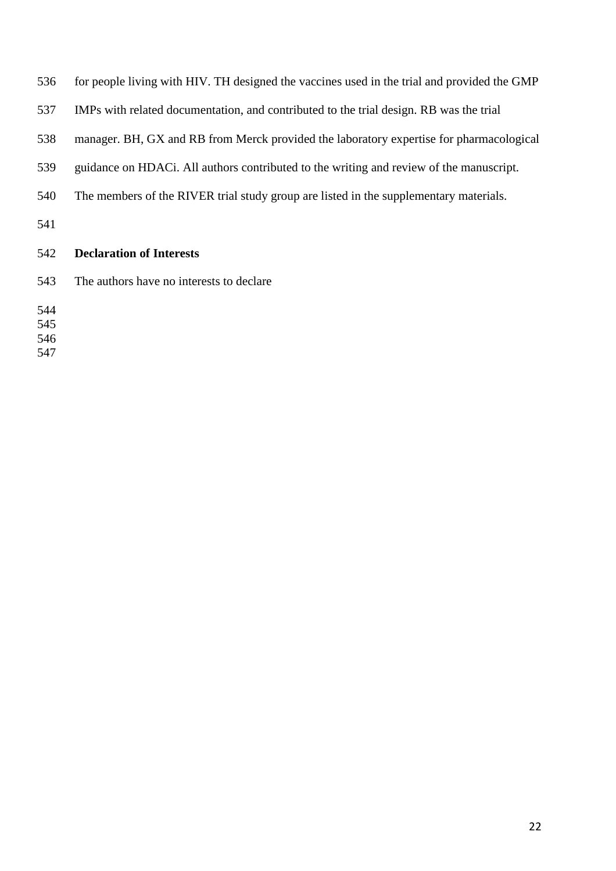| 536 | for people living with HIV. TH designed the vaccines used in the trial and provided the GMP |
|-----|---------------------------------------------------------------------------------------------|
| 537 | IMPs with related documentation, and contributed to the trial design. RB was the trial      |
| 538 | manager. BH, GX and RB from Merck provided the laboratory expertise for pharmacological     |
| 539 | guidance on HDAC. All authors contributed to the writing and review of the manuscript.      |
| 540 | The members of the RIVER trial study group are listed in the supplementary materials.       |
| 541 |                                                                                             |
| 542 | <b>Declaration of Interests</b>                                                             |
| 543 | The authors have no interests to declare                                                    |
| 544 |                                                                                             |
| 545 |                                                                                             |
| 546 |                                                                                             |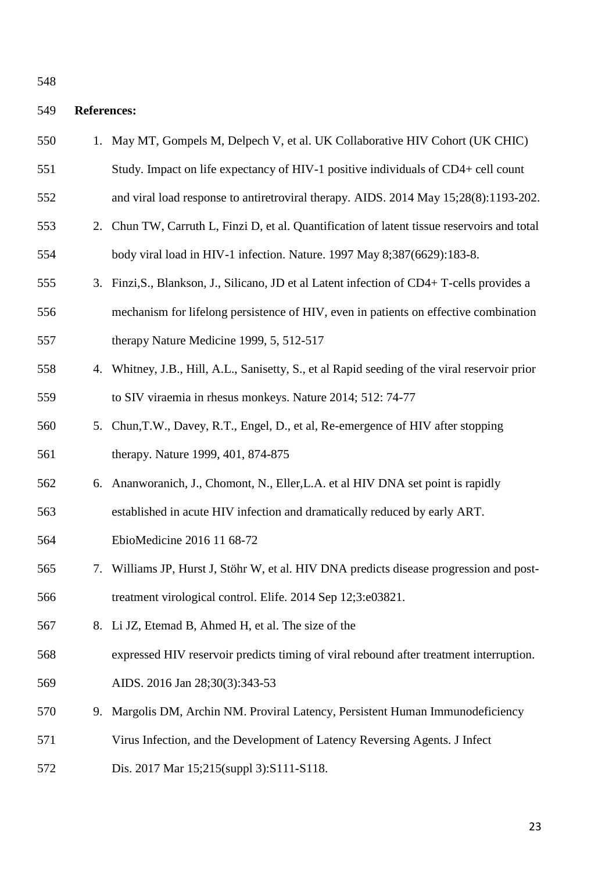# **References:**

| 550 |    | 1. May MT, Gompels M, Delpech V, et al. UK Collaborative HIV Cohort (UK CHIC)                 |
|-----|----|-----------------------------------------------------------------------------------------------|
| 551 |    | Study. Impact on life expectancy of HIV-1 positive individuals of CD4+ cell count             |
| 552 |    | and viral load response to antiretroviral therapy. AIDS. 2014 May 15;28(8):1193-202.          |
| 553 |    | 2. Chun TW, Carruth L, Finzi D, et al. Quantification of latent tissue reservoirs and total   |
| 554 |    | body viral load in HIV-1 infection. Nature. 1997 May 8;387(6629):183-8.                       |
| 555 |    | 3. Finzi, S., Blankson, J., Silicano, JD et al Latent infection of CD4+ T-cells provides a    |
| 556 |    | mechanism for lifelong persistence of HIV, even in patients on effective combination          |
| 557 |    | therapy Nature Medicine 1999, 5, 512-517                                                      |
| 558 |    | 4. Whitney, J.B., Hill, A.L., Sanisetty, S., et al Rapid seeding of the viral reservoir prior |
| 559 |    | to SIV viraemia in rhesus monkeys. Nature 2014; 512: 74-77                                    |
| 560 | 5. | Chun, T.W., Davey, R.T., Engel, D., et al, Re-emergence of HIV after stopping                 |
| 561 |    | therapy. Nature 1999, 401, 874-875                                                            |
| 562 |    | 6. Ananworanich, J., Chomont, N., Eller, L.A. et al HIV DNA set point is rapidly              |
| 563 |    | established in acute HIV infection and dramatically reduced by early ART.                     |
| 564 |    | EbioMedicine 2016 11 68-72                                                                    |
| 565 | 7. | Williams JP, Hurst J, Stöhr W, et al. HIV DNA predicts disease progression and post-          |
| 566 |    | treatment virological control. Elife. 2014 Sep 12;3:e03821                                    |
| 567 |    | 8. Li JZ, Etemad B, Ahmed H, et al. The size of the                                           |
| 568 |    | expressed HIV reservoir predicts timing of viral rebound after treatment interruption.        |
| 569 |    | AIDS. 2016 Jan 28;30(3):343-53                                                                |
| 570 |    | 9. Margolis DM, Archin NM. Proviral Latency, Persistent Human Immunodeficiency                |
| 571 |    | Virus Infection, and the Development of Latency Reversing Agents. J Infect                    |
| 572 |    | Dis. 2017 Mar 15;215(suppl 3):S111-S118.                                                      |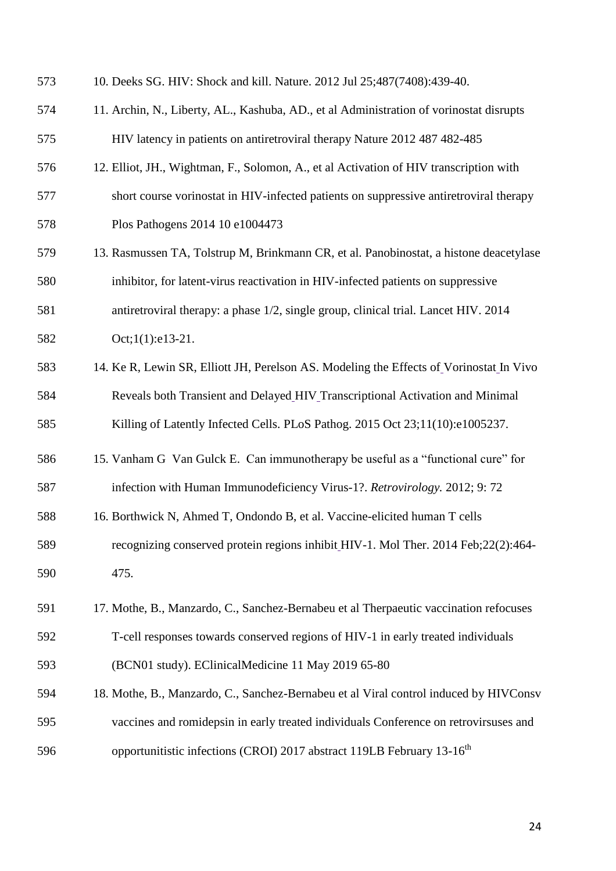| 573 | 10. Deeks SG. HIV: Shock and kill. Nature. 2012 Jul 25;487(7408):439-40.                |
|-----|-----------------------------------------------------------------------------------------|
| 574 | 11. Archin, N., Liberty, AL., Kashuba, AD., et al Administration of vorinostat disrupts |
| 575 | HIV latency in patients on antiretroviral therapy Nature 2012 487 482-485               |
| 576 | 12. Elliot, JH., Wightman, F., Solomon, A., et al Activation of HIV transcription with  |
| 577 | short course vorinostat in HIV-infected patients on suppressive antiretroviral therapy  |
| 578 | Plos Pathogens 2014 10 e1004473                                                         |
| 579 | 13. Rasmussen TA, Tolstrup M, Brinkmann CR, et al. Panobinostat, a histone deacetylase  |
| 580 | inhibitor, for latent-virus reactivation in HIV-infected patients on suppressive        |
| 581 | antiretroviral therapy: a phase 1/2, single group, clinical trial. Lancet HIV. 2014     |
| 582 | Oct;1(1):e13-21.                                                                        |
| 583 | 14. Ke R, Lewin SR, Elliott JH, Perelson AS. Modeling the Effects of Vorinostat In Vivo |
| 584 | Reveals both Transient and Delayed_HIV_Transcriptional Activation and Minimal           |
| 585 | Killing of Latently Infected Cells. PLoS Pathog. 2015 Oct 23;11(10):e1005237.           |
| 586 | 15. Vanham G Van Gulck E. Can immunotherapy be useful as a "functional cure" for        |
| 587 | infection with Human Immunodeficiency Virus-1?. Retrovirology. 2012; 9:72               |
| 588 | 16. Borthwick N, Ahmed T, Ondondo B, et al. Vaccine-elicited human T cells              |
| 589 | recognizing conserved protein regions inhibit HIV-1. Mol Ther. 2014 Feb;22(2):464-      |
| 590 | 475.                                                                                    |
| 591 | 17. Mothe, B., Manzardo, C., Sanchez-Bernabeu et al Therpaeutic vaccination refocuses   |
| 592 | T-cell responses towards conserved regions of HIV-1 in early treated individuals        |
| 593 | (BCN01 study). EClinicalMedicine 11 May 2019 65-80                                      |
| 594 | 18. Mothe, B., Manzardo, C., Sanchez-Bernabeu et al Viral control induced by HIVConsv   |
| 595 | vaccines and romidepsin in early treated individuals Conference on retrovirsuses and    |
| 596 | opportunitistic infections (CROI) 2017 abstract 119LB February 13-16 <sup>th</sup>      |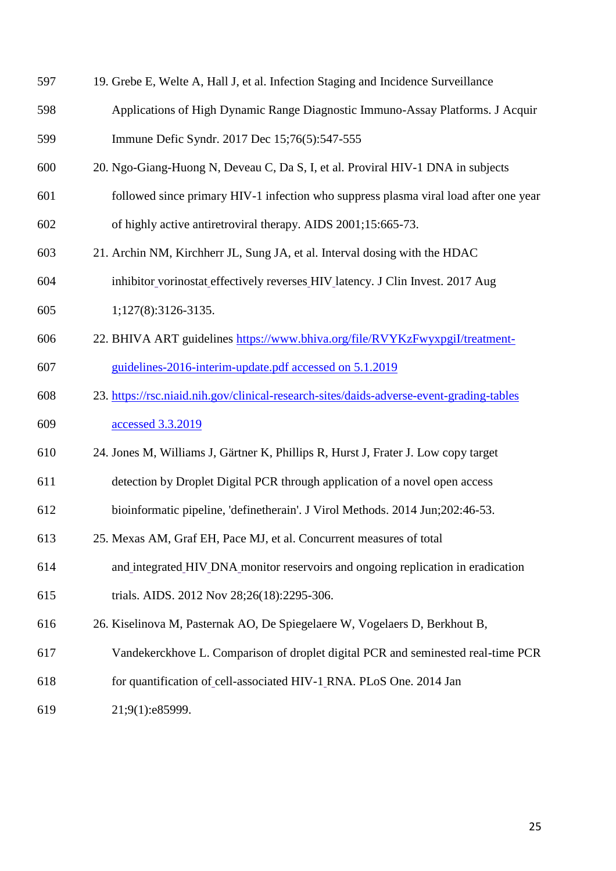| 597 | 19. Grebe E, Welte A, Hall J, et al. Infection Staging and Incidence Surveillance        |
|-----|------------------------------------------------------------------------------------------|
| 598 | Applications of High Dynamic Range Diagnostic Immuno-Assay Platforms. J Acquir           |
| 599 | Immune Defic Syndr. 2017 Dec 15;76(5):547-555                                            |
| 600 | 20. Ngo-Giang-Huong N, Deveau C, Da S, I, et al. Proviral HIV-1 DNA in subjects          |
| 601 | followed since primary HIV-1 infection who suppress plasma viral load after one year     |
| 602 | of highly active antiretroviral therapy. AIDS 2001;15:665-73.                            |
| 603 | 21. Archin NM, Kirchherr JL, Sung JA, et al. Interval dosing with the HDAC               |
| 604 | inhibitor vorinostat effectively reverses HIV latency. J Clin Invest. 2017 Aug           |
| 605 | 1;127(8):3126-3135.                                                                      |
| 606 | 22. BHIVA ART guidelines https://www.bhiva.org/file/RVYKzFwyxpgil/treatment-             |
| 607 | guidelines-2016-interim-update.pdf accessed on 5.1.2019                                  |
| 608 | 23. https://rsc.niaid.nih.gov/clinical-research-sites/daids-adverse-event-grading-tables |
| 609 | accessed 3.3.2019                                                                        |
| 610 | 24. Jones M, Williams J, Gärtner K, Phillips R, Hurst J, Frater J. Low copy target       |
| 611 | detection by Droplet Digital PCR through application of a novel open access              |
| 612 | bioinformatic pipeline, 'definetherain'. J Virol Methods. 2014 Jun;202:46-53.            |
| 613 | 25. Mexas AM, Graf EH, Pace MJ, et al. Concurrent measures of total                      |
| 614 | and integrated HIV DNA monitor reservoirs and ongoing replication in eradication         |
| 615 | trials. AIDS. 2012 Nov 28;26(18):2295-306.                                               |
| 616 | 26. Kiselinova M, Pasternak AO, De Spiegelaere W, Vogelaers D, Berkhout B,               |
| 617 | Vandekerckhove L. Comparison of droplet digital PCR and seminested real-time PCR         |
| 618 | for quantification of cell-associated HIV-1 RNA. PLoS One. 2014 Jan                      |
| 619 | 21;9(1):e85999.                                                                          |
|     |                                                                                          |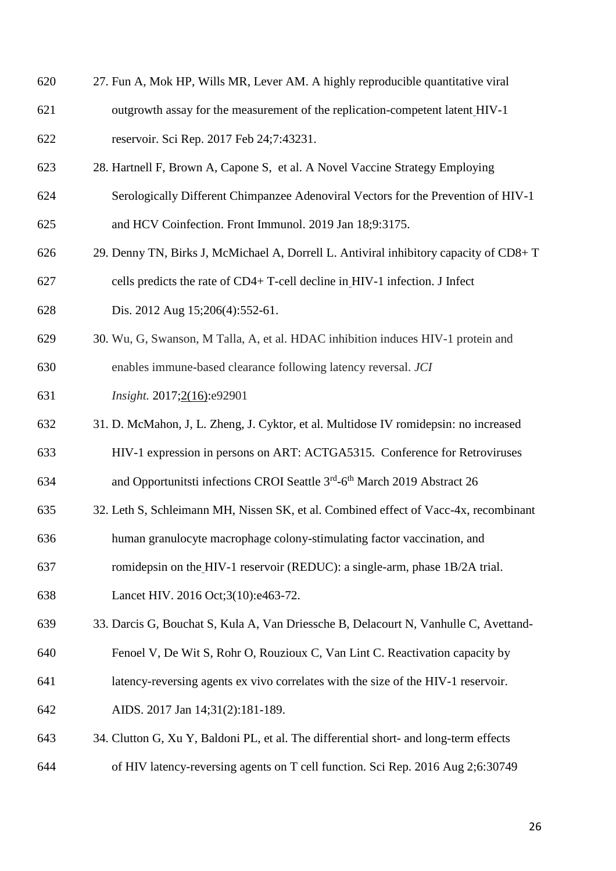- 27. Fun A, Mok HP, Wills MR, Lever AM. A highly reproducible quantitative viral
- outgrowth assay for the measurement of the replication-competent latent HIV-1 reservoir. Sci Rep. 2017 Feb 24;7:43231.
- 28. Hartnell F, Brown A, Capone S, et al. A Novel Vaccine Strategy Employing
- Serologically Different Chimpanzee Adenoviral Vectors for the Prevention of HIV-1
- and HCV Coinfection. Front Immunol. 2019 Jan 18;9:3175.
- 29. Denny TN, Birks J, McMichael A, Dorrell L. Antiviral inhibitory capacity of CD8+ T cells predicts the rate of CD4+ T-cell decline in HIV-1 infection. J Infect
- Dis. 2012 Aug 15;206(4):552-61.
- 30. Wu, G, Swanson, M Talla, A, et al. HDAC inhibition induces HIV-1 protein and
- enables immune-based clearance following latency reversal. *JCI*
- *Insight.* 2017;2(16):e92901
- 31. D. McMahon, J, L. Zheng, J. Cyktor, et al. Multidose IV romidepsin: no increased
- HIV-1 expression in persons on ART: ACTGA5315. Conference for Retroviruses
- 634 and Opportunitsti infections CROI Seattle 3<sup>rd</sup>-6<sup>th</sup> March 2019 Abstract 26
- 32. Leth S, Schleimann MH, Nissen SK, et al. Combined effect of Vacc-4x, recombinant
- human granulocyte macrophage colony-stimulating factor vaccination, and
- romidepsin on the HIV-1 reservoir (REDUC): a single-arm, phase 1B/2A trial.
- Lancet HIV. 2016 Oct;3(10):e463-72.
- 33. Darcis G, Bouchat S, Kula A, Van Driessche B, Delacourt N, Vanhulle C, Avettand-
- Fenoel V, De Wit S, Rohr O, Rouzioux C, Van Lint C. Reactivation capacity by
- latency-reversing agents ex vivo correlates with the size of the HIV-1 reservoir.
- AIDS. 2017 Jan 14;31(2):181-189.
- 34. Clutton G, Xu Y, Baldoni PL, et al. The differential short- and long-term effects
- of HIV latency-reversing agents on T cell function. Sci Rep. 2016 Aug 2;6:30749